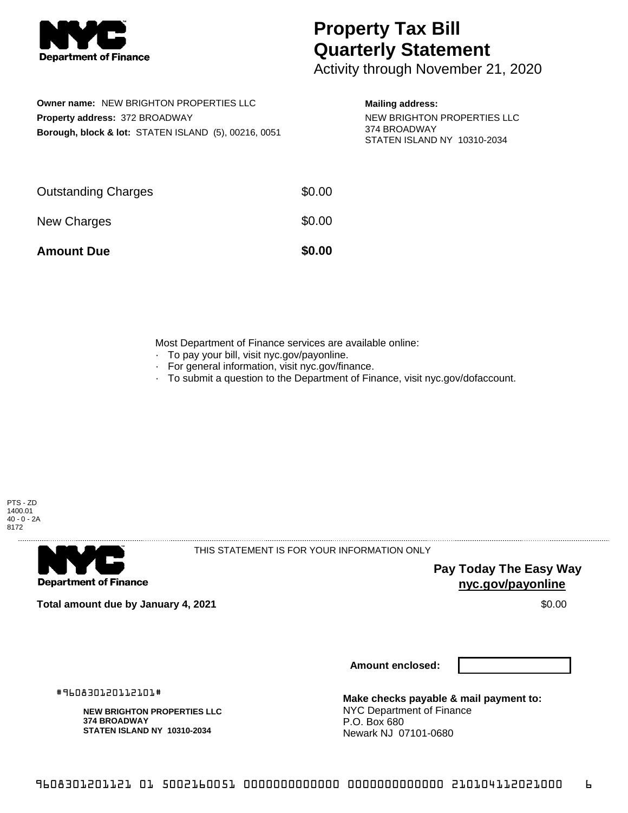

## **Property Tax Bill Quarterly Statement**

Activity through November 21, 2020

| Owner name: NEW BRIGHTON PROPERTIES LLC                         |
|-----------------------------------------------------------------|
| <b>Property address: 372 BROADWAY</b>                           |
| <b>Borough, block &amp; lot: STATEN ISLAND (5), 00216, 0051</b> |

**Mailing address:**

NEW BRIGHTON PROPERTIES LLC 374 BROADWAY STATEN ISLAND NY 10310-2034

| <b>Amount Due</b>          | \$0.00 |
|----------------------------|--------|
| New Charges                | \$0.00 |
| <b>Outstanding Charges</b> | \$0.00 |

Most Department of Finance services are available online:

- · To pay your bill, visit nyc.gov/payonline.
- For general information, visit nyc.gov/finance.
- · To submit a question to the Department of Finance, visit nyc.gov/dofaccount.





THIS STATEMENT IS FOR YOUR INFORMATION ONLY

**Pay Today The Easy Way nyc.gov/payonline**

**Total amount due by January 4, 2021** \$0.00

**Amount enclosed:**

#960830120112101#

**NEW BRIGHTON PROPERTIES LLC 374 BROADWAY STATEN ISLAND NY 10310-2034**

**Make checks payable & mail payment to:** NYC Department of Finance P.O. Box 680 Newark NJ 07101-0680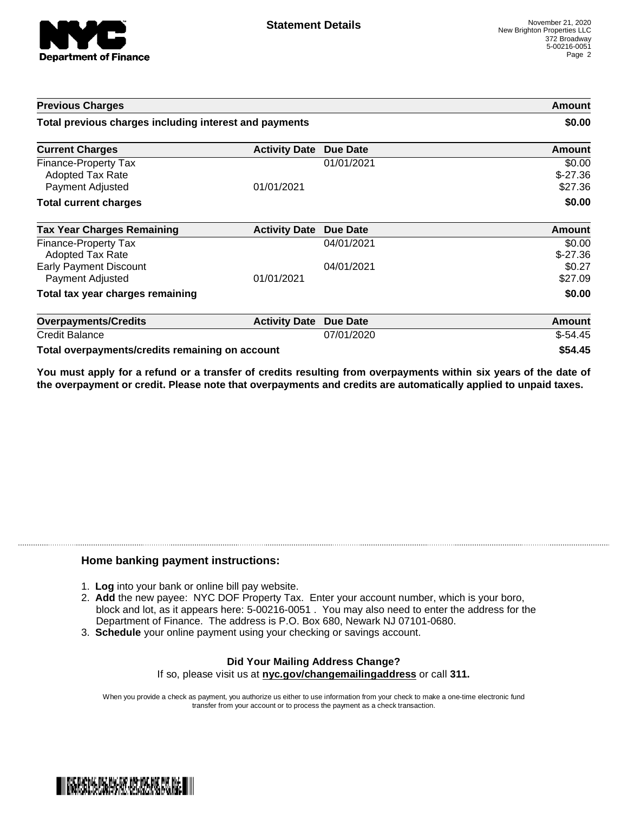

| <b>Previous Charges</b><br>Total previous charges including interest and payments |                      |                 | Amount<br>\$0.00               |
|-----------------------------------------------------------------------------------|----------------------|-----------------|--------------------------------|
|                                                                                   |                      |                 |                                |
| Finance-Property Tax<br>Adopted Tax Rate<br>Payment Adjusted                      | 01/01/2021           | 01/01/2021      | \$0.00<br>$$-27.36$<br>\$27.36 |
| <b>Total current charges</b>                                                      |                      |                 | \$0.00                         |
| <b>Tax Year Charges Remaining</b>                                                 | <b>Activity Date</b> | <b>Due Date</b> | <b>Amount</b>                  |
| Finance-Property Tax<br>Adopted Tax Rate                                          |                      | 04/01/2021      | \$0.00<br>$$-27.36$            |
| <b>Early Payment Discount</b><br>Payment Adjusted                                 | 01/01/2021           | 04/01/2021      | \$0.27<br>\$27.09              |
| Total tax year charges remaining                                                  |                      |                 | \$0.00                         |
| <b>Overpayments/Credits</b>                                                       | <b>Activity Date</b> | <b>Due Date</b> | Amount                         |
| <b>Credit Balance</b>                                                             |                      | 07/01/2020      | $$-54.45$                      |
| Total overpayments/credits remaining on account                                   |                      |                 | \$54.45                        |

You must apply for a refund or a transfer of credits resulting from overpayments within six years of the date of **the overpayment or credit. Please note that overpayments and credits are automatically applied to unpaid taxes.**

## **Home banking payment instructions:**

- 1. **Log** into your bank or online bill pay website.
- 2. **Add** the new payee: NYC DOF Property Tax. Enter your account number, which is your boro, block and lot, as it appears here: 5-00216-0051 . You may also need to enter the address for the Department of Finance. The address is P.O. Box 680, Newark NJ 07101-0680.
- 3. **Schedule** your online payment using your checking or savings account.

## **Did Your Mailing Address Change?** If so, please visit us at **nyc.gov/changemailingaddress** or call **311.**

When you provide a check as payment, you authorize us either to use information from your check to make a one-time electronic fund transfer from your account or to process the payment as a check transaction.